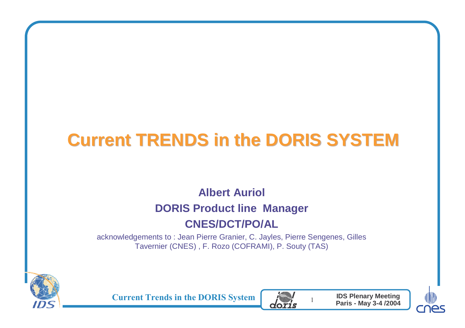# **Current TRENDS in the DORIS SYSTEM**

#### **Albert Auriol**

#### **DORIS Product line Manager**

#### **CNES/DCT/PO/AL**

 acknowledgements to : Jean Pierre Granier, C. Jayles, Pierre Sengenes, Gilles Tavernier (CNES) , F. Rozo (COFRAMI), P. Souty (TAS)



**Current Trends in the DORIS System** 



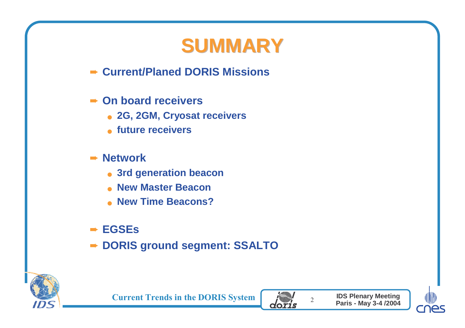# **SUMMARY**

- ➨ **Current/Planed DORIS Missions**
- ➨ **On board receivers**
	- **2G, 2GM, Cryosat receivers**
	- **future receivers**
- ➨ **Network**
	- **3rd generation beacon**
	- **New Master Beacon**
	- **New Time Beacons?**
- ➨ **EGSEs**
- ➨ **DORIS ground segment: SSALTO**





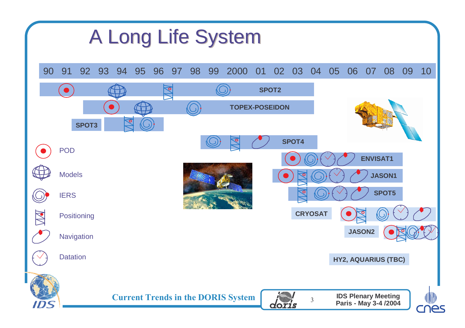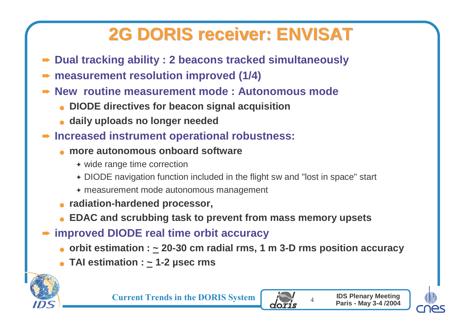## **2G DORIS receiver: ENVISAT**

- ➨**Dual tracking ability : 2 beacons tracked simultaneously**
- ➨ **measurement resolution improved (1/4)**
- **► New routine measurement mode : Autonomous mode** 
	- **DIODE directives for beacon signal acquisition**
	- **daily uploads no longer needed**
- ➨ **Increased instrument operational robustness:**
	- ● **more autonomous onboard software**
		- ◆ wide range time correction
		- ✦ DIODE navigation function included in the flight sw and "lost in space" start
		- ✦ measurement mode autonomous management
	- **radiation-hardened processor,**
	- **EDAC and scrubbing task to prevent from mass memory upsets**
- ➨ **improved DIODE real time orbit accuracy**
	- **orbit estimation : ~ 20-30 cm radial rms, 1 m 3-D rms position accuracy**
	- ●**TAI estimation : ~ 1-2 µsec rms**





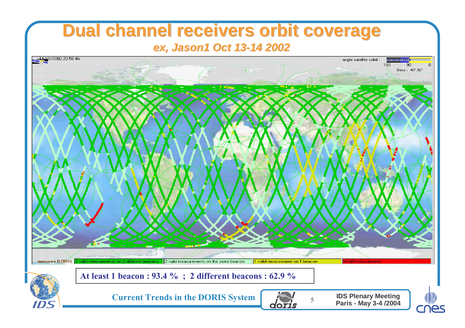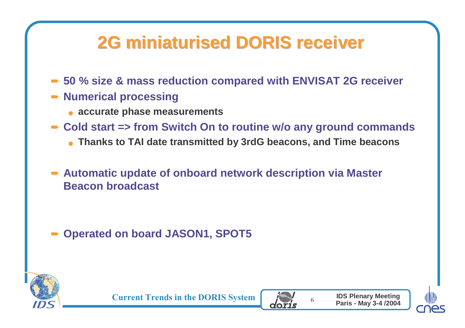#### **2G miniaturised DORIS receiver**

- **► 50 % size & mass reduction compared with ENVISAT 2G receiver**
- ➨ **Numerical processing**
	- **accurate phase measurements**
- ➨ **Cold start => from Switch On to routine w/o any ground commands**
	- **Thanks to TAI date transmitted by 3rdG beacons, and Time beacons**
- ➨ **Automatic update of onboard network description via Master Beacon broadcast**

➨ **Operated on board JASON1, SPOT5**





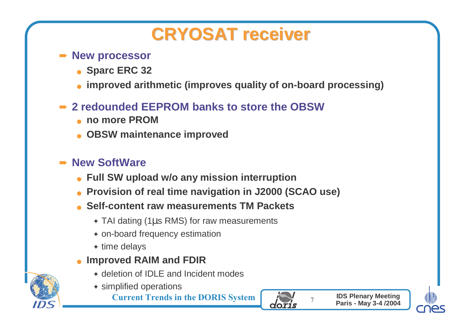#### **CRYOSAT receiver**

#### ➨ **New processor**

- **Sparc ERC 32**
- ●**improved arithmetic (improves quality of on-board processing)**

#### **► 2 redounded EEPROM banks to store the OBSW**

- ●**no more PROM**
- **OBSW maintenance improved**

#### **Rew SoftWare**

- ●**Full SW upload w/o any mission interruption**
- **Provision of real time navigation in J2000 (SCAO use)** ●
- ● **Self-content raw measurements TM Packets**
	- $\bullet$  TAI dating (1 $\mu$ s RMS) for raw measurements
	- ✦ on-board frequency estimation
	- $\textcolor{blue}\blacklozenge$  time delays
- ● **Improved RAIM and FDIR**
	- ✦ deletion of IDLE and Incident modes
	- ✦ simplified operations

**Current Trends in the DORIS System** 





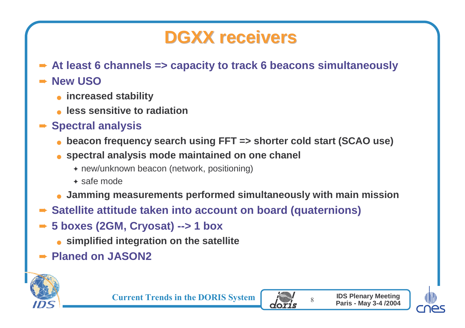#### **DGXX receivers**

➨ **At least 6 channels => capacity to track 6 beacons simultaneously**

#### ➨ **New USO**

- **increased stability**
- **less sensitive to radiation**
- ➨ **Spectral analysis**
	- **beacon frequency search using FFT => shorter cold start (SCAO use)**
	- **spectral analysis mode maintained on one chanel**
		- ✦ new/unknown beacon (network, positioning)
		- ✦ safe mode
	- **Jamming measurements performed simultaneously with main mission**
- ➨ **Satellite attitude taken into account on board (quaternions)**
- ➨ **5 boxes (2GM, Cryosat) --> 1 box**
	- **simplified integration on the satellite**
- ➨ **Planed on JASON2**





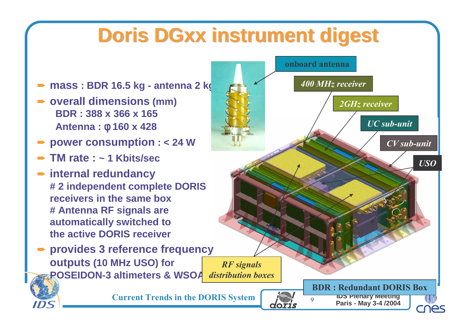# **Doris DGxx instrument digest**

➨ **mass : BDR 16.5 kg - antenna 2 kg**

- ➨ **overall dimensions (mm) BDR : 388 x 366 x 165Antenna :** φ **160 x 428**
- ➨ **power consumption : < 24 W**
- ➨ **TM rate : ~ 1 Kbits/sec**
- ➨ **internal redundancy # 2 independent complete DORISreceivers in the same box # Antenna RF signals are automatically switched tothe active DORIS receiver**

**▶ provides 3 reference frequency outputs (10 MHz USO) for POSEIDON-3 altimeters & WSOARF** signals distribution boxes

**Current Trends in the DORIS System** 

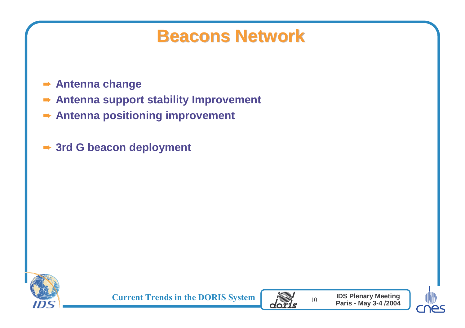#### **Beacons Network**

- ➨ **Antenna change**
- ➨ **Antenna support stability Improvement**
- ➨ **Antenna positioning improvement**
- ➨ **3rd G beacon deployment**





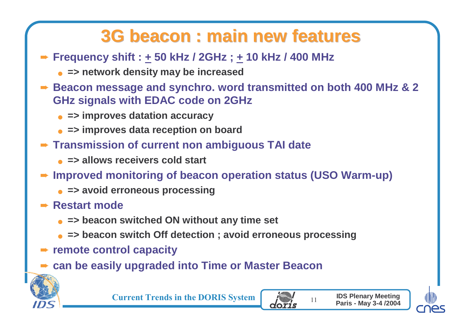#### **3G beacon : main new features**

- ➨ **Frequency shift : + 50 kHz / 2GHz ; + 10 kHz / 400 MHz** 
	- **=> network density may be increased**
- **► Beacon message and synchro. word transmitted on both 400 MHz & 2**<br>CHz signals with EDAC code on 2GHz **GHz signals with EDAC code on 2GHz**
	- **=> improves datation accuracy**
	- **=> improves data reception on board**
- ➨ **Transmission of current non ambiguous TAI date**
	- **=> allows receivers cold start**
- ➨ **Improved monitoring of beacon operation status (USO Warm-up)**
	- **=> avoid erroneous processing**
- ➨ **Restart mode** 
	- **=> beacon switched ON without any time set**
	- **=> beacon switch Off detection ; avoid erroneous processing**
- ➨ **remote control capacity**
- ➨ **can be easily upgraded into Time or Master Beacon**



**Current Trends in the DORIS System** 



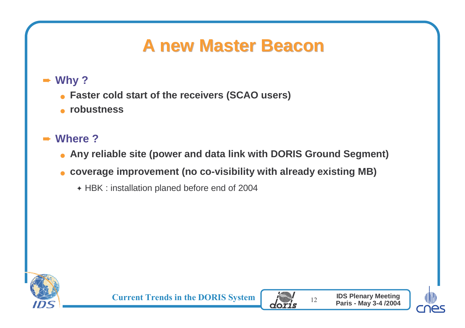#### **A new Master Beacon**

#### ➨ **Why ?**

- **Faster cold start of the receivers (SCAO users)**
- **robustness**

#### ➨**Where ?**

- **Any reliable site (power and data link with DORIS Ground Segment)**
- **coverage improvement (no co-visibility with already existing MB)**
	- ✦ HBK : installation planed before end of 2004





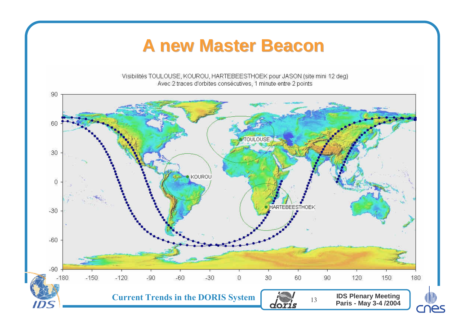#### **A new Master Beacon**

Visibilités TOULOUSE, KOUROU, HARTEBEESTHOEK pour JASON (site mini 12 deg) Avec 2 traces d'orbites consécutives, 1 minute entre 2 points

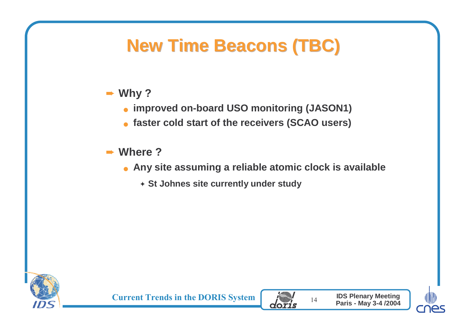# **New Time Beacons (TBC)**

#### ➨ **Why ?**

- **improved on-board USO monitoring (JASON1)**
- **faster cold start of the receivers (SCAO users)**

#### ➨ **Where ?**

- **Any site assuming a reliable atomic clock is available**
	- ✦ **St Johnes site currently under study**





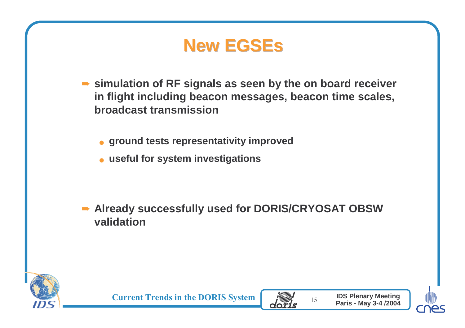





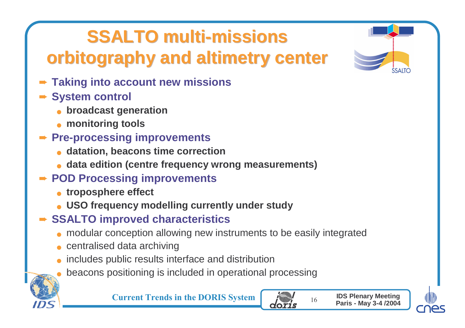# **SSALTO multi-missions**

# **orbitography and altimetry center**

- ➨ **Taking into account new missions**
- ➨ **System control**
	- **broadcast generation**
	- **monitoring tools**

#### **▶ Pre-processing improvements**

- ●**datation, beacons time correction**
- **data edition (centre frequency wrong measurements)**

## **► POD Processing improvements**

- **troposphere effect**
- **USO frequency modelling currently under study**
- **► SSALTO improved characteristics** 
	- modular conception allowing new instruments to be easily integrated
	- centralised data archiving
	- **.** includes public results interface and distribution ●
	- **•** beacons positioning is included in operational processing ●



**Current Trends in the DORIS System**